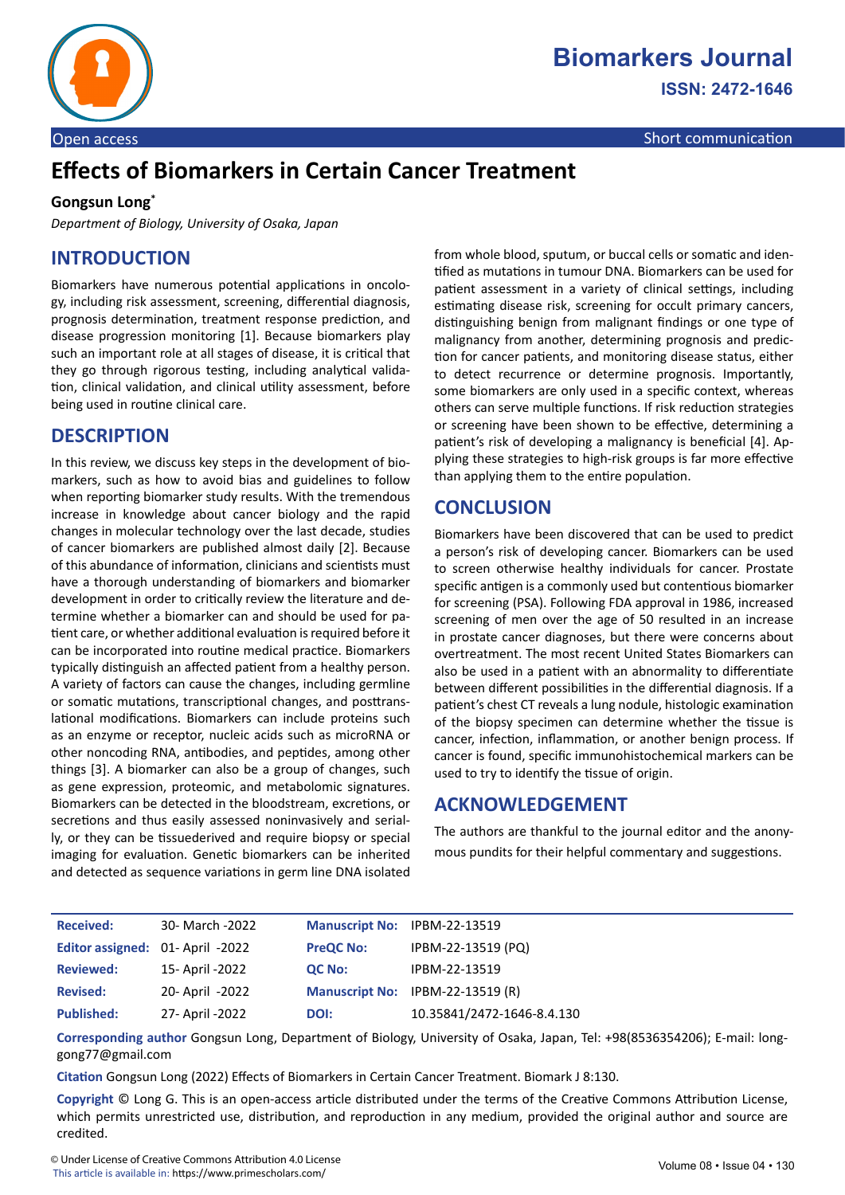

Open access Short communication and the communication of the communication of the communication

# **Effects of Biomarkers in Certain Cancer Treatment**

#### **Gongsun Long\***

*Department of Biology, University of Osaka, Japan*

## **INTRODUCTION**

Biomarkers have numerous potential applications in oncology, including risk assessment, screening, differential diagnosis, prognosis determination, treatment response prediction, and disease progression monitoring [1]. Because biomarkers play such an important role at all stages of disease, it is critical that they go through rigorous testing, including analytical validation, clinical validation, and clinical utility assessment, before being used in routine clinical care.

#### **DESCRIPTION**

In this review, we discuss key steps in the development of biomarkers, such as how to avoid bias and guidelines to follow when reporting biomarker study results. With the tremendous increase in knowledge about cancer biology and the rapid changes in molecular technology over the last decade, studies of cancer biomarkers are published almost daily [2]. Because of this abundance of information, clinicians and scientists must have a thorough understanding of biomarkers and biomarker development in order to critically review the literature and determine whether a biomarker can and should be used for patient care, or whether additional evaluation is required before it can be incorporated into routine medical practice. Biomarkers typically distinguish an affected patient from a healthy person. A variety of factors can cause the changes, including germline or somatic mutations, transcriptional changes, and posttranslational modifications. Biomarkers can include proteins such as an enzyme or receptor, nucleic acids such as microRNA or other noncoding RNA, antibodies, and peptides, among other things [3]. A biomarker can also be a group of changes, such as gene expression, proteomic, and metabolomic signatures. Biomarkers can be detected in the bloodstream, excretions, or secretions and thus easily assessed noninvasively and serially, or they can be tissuederived and require biopsy or special imaging for evaluation. Genetic biomarkers can be inherited and detected as sequence variations in germ line DNA isolated

from whole blood, sputum, or buccal cells or somatic and identified as mutations in tumour DNA. Biomarkers can be used for patient assessment in a variety of clinical settings, including estimating disease risk, screening for occult primary cancers, distinguishing benign from malignant findings or one type of malignancy from another, determining prognosis and prediction for cancer patients, and monitoring disease status, either to detect recurrence or determine prognosis. Importantly, some biomarkers are only used in a specific context, whereas others can serve multiple functions. If risk reduction strategies or screening have been shown to be effective, determining a patient's risk of developing a malignancy is beneficial [4]. Applying these strategies to high-risk groups is far more effective than applying them to the entire population.

## **CONCLUSION**

Biomarkers have been discovered that can be used to predict a person's risk of developing cancer. Biomarkers can be used to screen otherwise healthy individuals for cancer. Prostate specific antigen is a commonly used but contentious biomarker for screening (PSA). Following FDA approval in 1986, increased screening of men over the age of 50 resulted in an increase in prostate cancer diagnoses, but there were concerns about overtreatment. The most recent United States Biomarkers can also be used in a patient with an abnormality to differentiate between different possibilities in the differential diagnosis. If a patient's chest CT reveals a lung nodule, histologic examination of the biopsy specimen can determine whether the tissue is cancer, infection, inflammation, or another benign process. If cancer is found, specific immunohistochemical markers can be used to try to identify the tissue of origin.

#### **ACKNOWLEDGEMENT**

The authors are thankful to the journal editor and the anonymous pundits for their helpful commentary and suggestions.

| <b>Received:</b>                 | 30- March -2022 | Manuscript No: IPBM-22-13519 |                                  |
|----------------------------------|-----------------|------------------------------|----------------------------------|
| Editor assigned: 01- April -2022 |                 | <b>PreQC No:</b>             | IPBM-22-13519 (PQ)               |
| <b>Reviewed:</b>                 | 15- April -2022 | QC No:                       | IPBM-22-13519                    |
| <b>Revised:</b>                  | 20- April -2022 |                              | Manuscript No: IPBM-22-13519 (R) |
| <b>Published:</b>                | 27- April -2022 | DOI:                         | 10.35841/2472-1646-8.4.130       |

**Corresponding author** Gongsun Long, Department of Biology, University of Osaka, Japan, Tel: +98(8536354206); E-mail: longgong77@gmail.com

**Citation** Gongsun Long (2022) Effects of Biomarkers in Certain Cancer Treatment. Biomark J 8:130.

**Copyright** © Long G. This is an open-access article distributed under the terms of the Creative Commons Attribution License, which permits unrestricted use, distribution, and reproduction in any medium, provided the original author and source are credited.